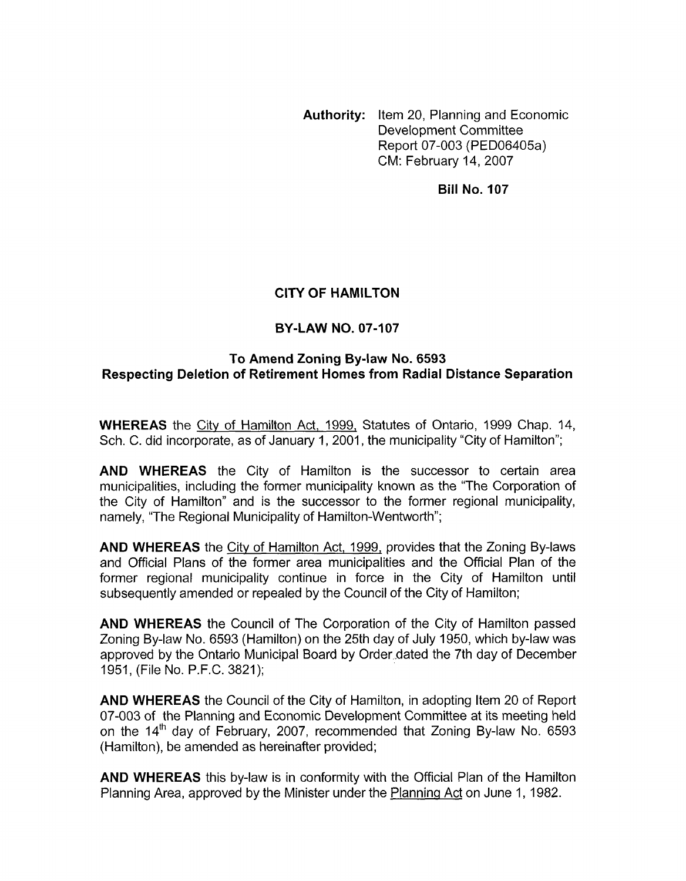**Authority:** Item 20, Planning and Economic Development Committee Report 07-003 (PED06405a) CM: February 14,2007

**Bill No. 107** 

# **CITY OF HAMILTON**

# **BY-LAW NO. 07-107**

## **To Amend Zoning By-law No. 6593 Respecting Deletion of Retirement Homes from Radial Distance Separation**

**WHEREAS** the City of Hamilton Act, 1999, Statutes of Ontario, 1999 Chap. 14, Sch. C. did incorporate, as of January 1, 2001, the municipality "City of Hamilton";

**AND WHEREAS** the City of Hamilton is the successor to certain area municipalities, including the former municipality known as the "The Corporation of the City of Hamilton" and is the successor to the former regional municipality, namely, "The Regional Municipality of Hamilton-Wentworth";

**AND WHEREAS** the City of Hamilton Act, 1999, provides that the Zoning By-laws and Official Plans of the former area municipalities and the Official Plan of the former regional municipality continue in force in the City of Hamilton until subsequently amended or repealed by the Council of the City of Hamilton;

**AND WHEREAS** the Council of The Corporation of the City of Hamilton passed Zoning By-law No. 6593 (Hamilton) on the 25th day of July 1950, which by-law was approved by the Ontario Municipal Board by Order ,dated the 7th day of December 1951, (File No. P.F.C. 3821);

**AND WHEREAS** the Council of the City of Hamilton, in adopting Item 20 of Report 07-003 of the Planning and Economic Development Committee at its meeting held on the  $14<sup>th</sup>$  day of February, 2007, recommended that Zoning By-law No. 6593 (Hamilton), be amended as hereinafter provided;

**AND WHEREAS** this by-law is in conformity with the Official Plan of the Hamilton Planning Area, approved by the Minister under the Planning Act on June 1, 1982.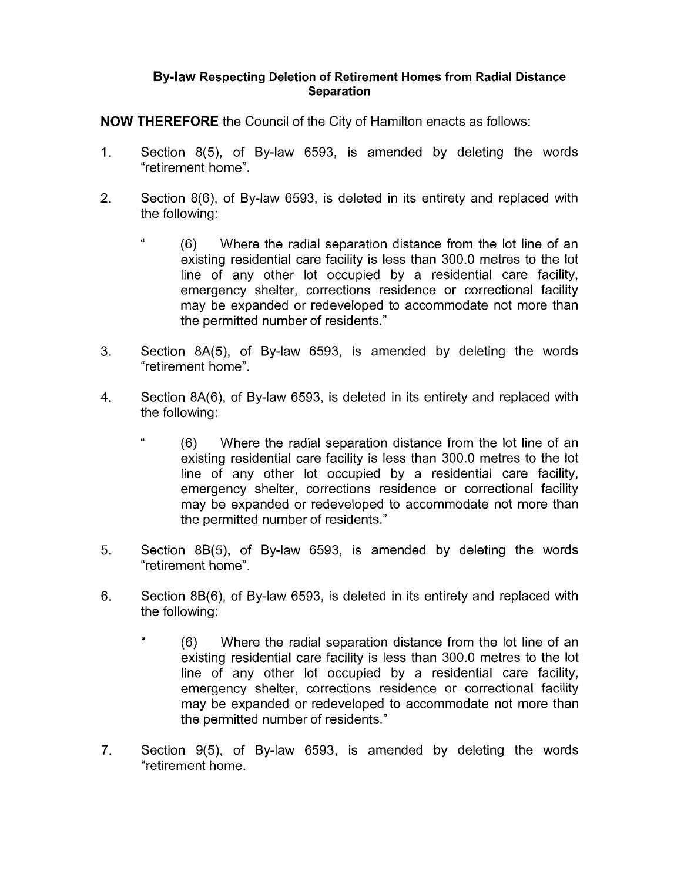**NOW THEREFORE** the Council of the City of Hamilton enacts as follows:

- $1<sub>1</sub>$ Section 8(5), of By-law 6593, is amended by deleting the words "retirement home".
- $2<sub>1</sub>$ Section 8(6), of By-law 6593, is deleted in its entirety and replaced with the following:
	- <sup>"</sup> (6) Where the radial separation distance from the lot line of an existing residential care facility is less than 300.0 metres to the lot line of any other lot occupied by a residential care facility, emergency shelter, corrections residence or correctional facility may be expanded or redeveloped to accommodate not more than the permitted number of residents."
- $3<sub>1</sub>$ Section 8A(5), of By-law 6593, is amended by deleting the words "retirement home".
- 4. Section 8A(6), of By-law 6593, is deleted in its entirety and replaced with the following:
	- **'6** (6) Where the radial separation distance from the lot line of an existing residential care facility is less than 300.0 metres to the lot line of any other lot occupied by a residential care facility, emergency shelter, corrections residence or correctional facility may be expanded or redeveloped to accommodate not more than the permitted number of residents."
- 5. Section 8B(5), of By-law 6593, is amended by deleting the words "retirement home".
- 6. Section 8B(6), of By-law 6593, is deleted in its entirety and replaced with the following:
	- *L'* (6) Where the radial separation distance from the lot line of an existing residential care facility is less than 300.0 metres to the lot line of any other lot occupied by a residential care facility, emergency shelter, corrections residence or correctional facility may be expanded or redeveloped to accommodate not more than the permitted number of residents."
- $7<sub>1</sub>$ Section 9(5), of By-law 6593, is amended by deleting the words "retirement home.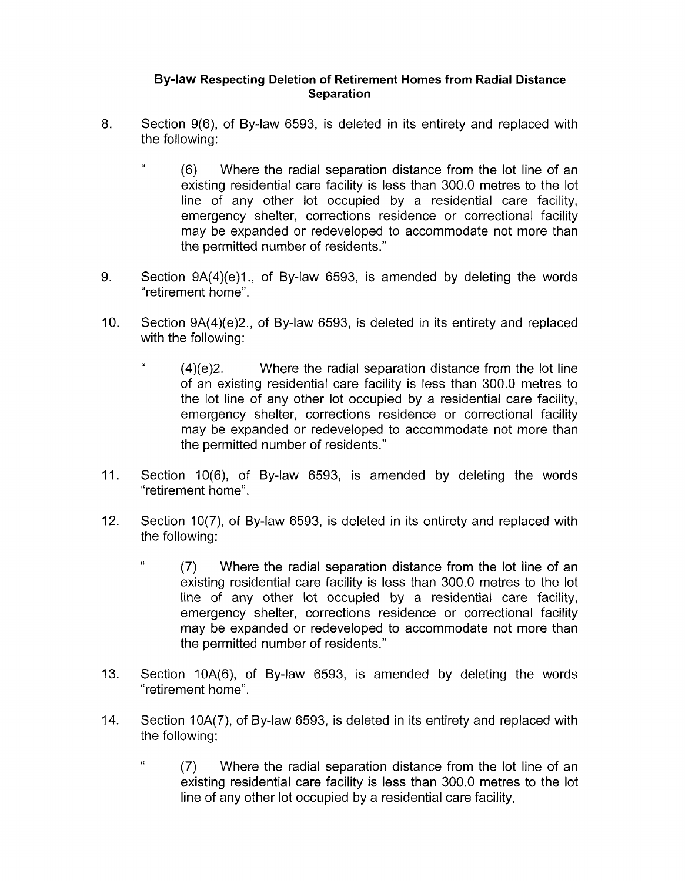- *8.* Section 9(6), of By-law 6593, is deleted in its entirety and replaced with the following:
	- **'I** (6) Where the radial separation distance from the lot line of an existing residential care facility is less than 300.0 metres to the lot line of any other lot occupied by a residential care facility, emergency shelter, corrections residence or correctional facility may be expanded or redeveloped to accommodate not more than the permitted number of residents."
- 9. Section  $9A(4)(e)1$ , of By-law 6593, is amended by deleting the words "retirement home".
- 10. Section 9A(4)(e)2., of By-law 6593, is deleted in its entirety and replaced with the following:
	- <sup>"</sup> (4)(e)2. Where the radial separation distance from the lot line of an existing residential care facility is less than 300.0 metres to the lot line of any other lot occupied by a residential care facility, emergency shelter, corrections residence or correctional facility may be expanded or redeveloped to accommodate not more than the permitted number of residents."
- 11. Section 10(6), of By-law 6593, is amended by deleting the words "retirement home".
- 12. Section 10(7), of By-law 6593, is deleted in its entirety and replaced with the following:
	- <sup>"</sup> (7) Where the radial separation distance from the lot line of an existing residential care facility is less than 300.0 metres to the lot line of any other lot occupied by a residential care facility, emergency shelter, corrections residence or correctional facility may be expanded or redeveloped to accommodate not more than the permitted number of residents."
- 13. Section 1OA(6), of By-law 6593, is amended by deleting the words "retirement home".
- 14. Section 1OA(7), of By-law 6593, is deleted in its entirety and replaced with the following:
	- <sup>"</sup> (7) Where the radial separation distance from the lot line of an existing residential care facility is less than 300.0 metres to the lot line of any other lot occupied by a residential care facility,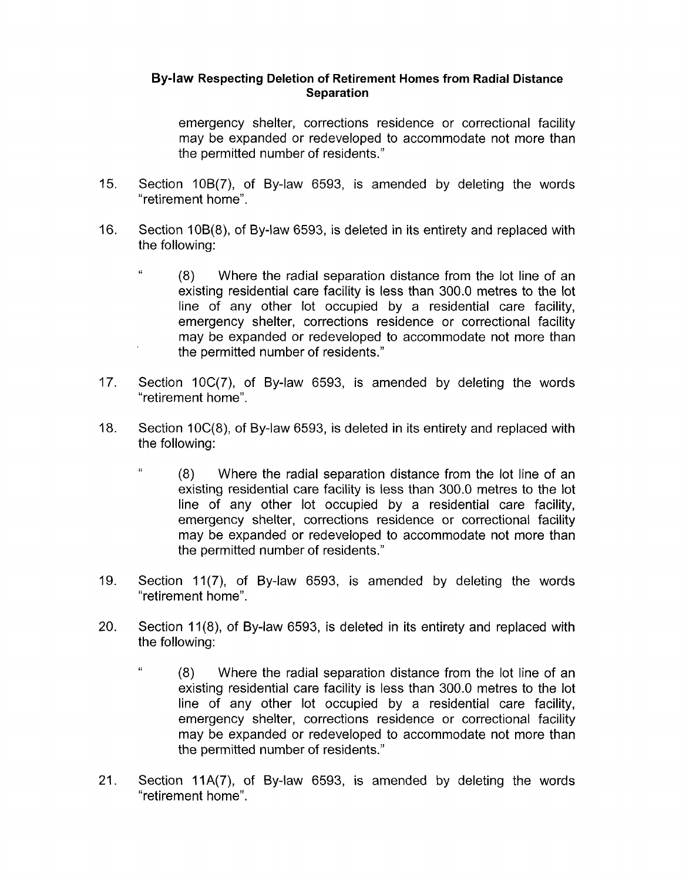emergency shelter, corrections residence or correctional facility may be expanded or redeveloped to accommodate not more than the permitted number of residents."

- 15. Section 10B(7), of By-law 6593, is amended by deleting the words "retirement home".
- 16. Section 108(8), of By-law 6593, is deleted in its entirety and replaced with the following:
	- <sup>"</sup> (8) Where the radial separation distance from the lot line of an existing residential care facility is less than 300.0 metres to the lot line of any other lot occupied by a residential care facility, emergency shelter, corrections residence or correctional facility may be expanded or redeveloped to accommodate not more than the permitted number of residents."
- 17. Section 10C(7), of By-law 6593, is amended by deleting the words " retirement home".
- 18. Section 10C(8), of By-law 6593, is deleted in its entirety and replaced with the following:
	- **6,** (8) Where the radial separation distance from the lot line of an existing residential care facility is less than 300.0 metres to the lot line of any other lot occupied by a residential care facility, emergency shelter, corrections residence or correctional facility may be expanded or redeveloped to accommodate not more than the permitted number of residents."
- 19. Section 11(7), of By-law 6593, is amended by deleting the words "retirement home".
- 20. Section 11(8), of By-law 6593, is deleted in its entirety and replaced with the following:
	- <sup>"</sup> (8) Where the radial separation distance from the lot line of an existing residential care facility is less than 300.0 metres to the lot line of any other lot occupied by a residential care facility, emergency shelter, corrections residence or correctional facility may be expanded or redeveloped to accommodate not more than the permitted number of residents."
- 21. Section 11A(7), of By-law 6593, is amended by deleting the words "retirement home".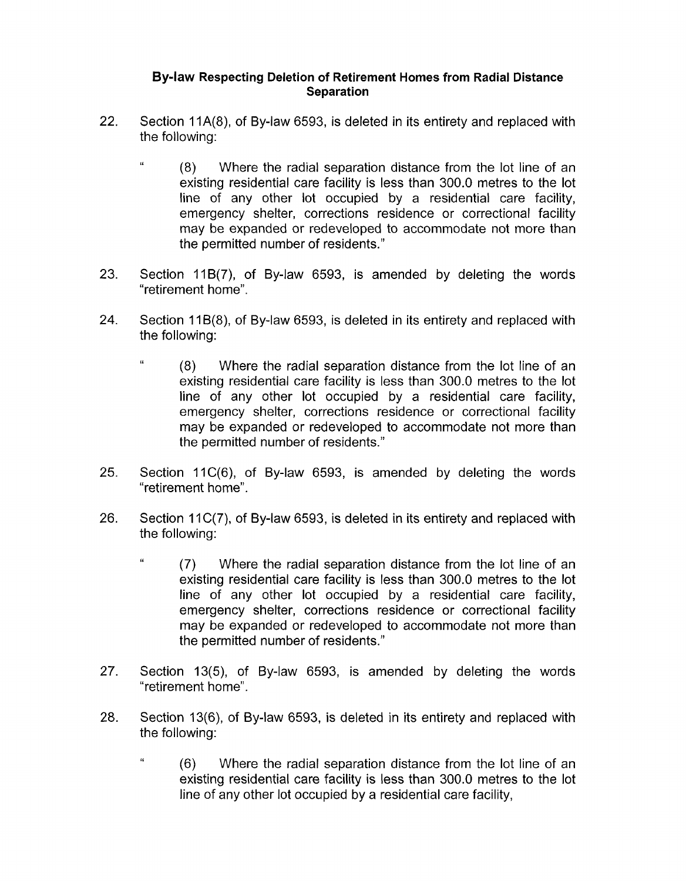- 22. Section 11A(8), of By-law 6593, is deleted in its entirety and replaced with the following:
	- <sup>"</sup> (8) Where the radial separation distance from the lot line of an existing residential care facility is less than 300.0 metres to the lot line of any other lot occupied by a residential care facility, emergency shelter, corrections residence or correctional facility may be expanded or redeveloped to accommodate not more than the permitted number of residents."
- 23. Section 11B(7), of By-law 6593, is amended by deleting the words "retirement home".
- 24. Section 11 B(8), of By-law 6593, is deleted in its entirety and replaced with the following:
	- <sup>"</sup> (8) Where the radial separation distance from the lot line of an existing residential care facility is less than 300.0 metres to the lot line of any other lot occupied by a residential care facility, emergency shelter, corrections residence or correctional facility may be expanded or redeveloped to accommodate not more than the permitted number of residents."
- 25. Section 11C(6), of By-law 6593, is amended by deleting the words "retirement home".
- 26. Section 11 C(7), of By-law 6593, is deleted in its entirety and replaced with the following:
	- **1'** (7) Where the radial separation distance from the lot line of an existing residential care facility is less than 300.0 metres to the lot line of any other lot occupied by a residential care facility, emergency shelter, corrections residence or correctional facility may be expanded or redeveloped to accommodate not more than the permitted number of residents.''
- 27. Section 13(5), of By-law 6593, is amended by deleting the words " retirement home".
- 28. Section 13(6), of By-law 6593, is deleted in its entirety and replaced with the following:
	- **I'** (6) Where the radial separation distance from the lot line of an existing residential care facility is less than 300.0 metres to the lot line of any other lot occupied by a residential care facility,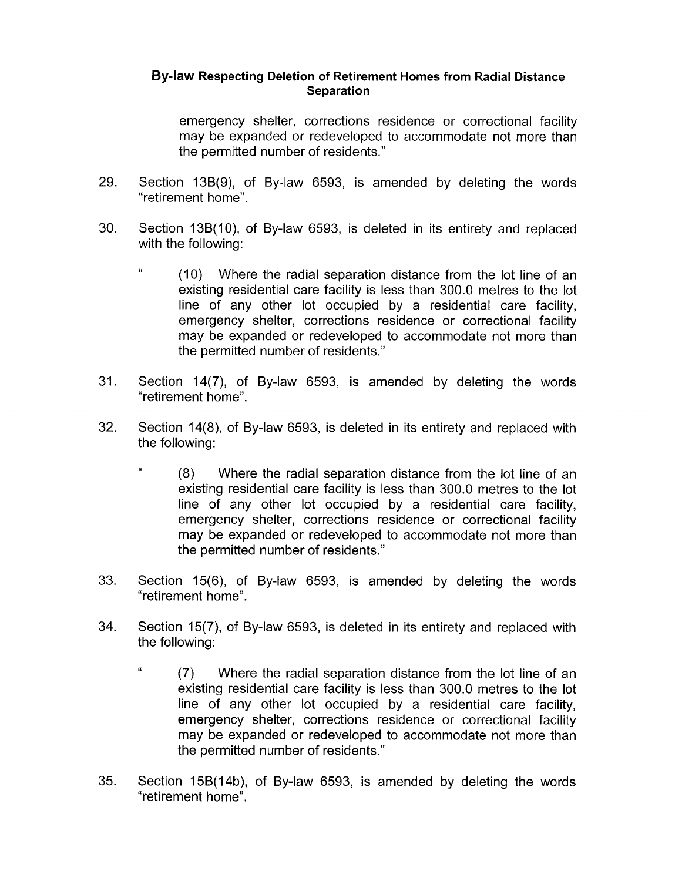emergency shelter, corrections residence or correctional facility may be expanded or redeveloped to accommodate not more than the permitted number of residents."

- 29. Section 13B(9), of By-law 6593, is amended by deleting the words "retirement home".
- 30. Section 13B(10), of By-law 6593, is deleted in its entirety and replaced with the following:
	- **Li** (10) Where the radial separation distance from the lot line of an existing residential care facility is less than 300.0 metres to the lot line of any other lot occupied by a residential care facility, emergency shelter, corrections residence or correctional facility may be expanded or redeveloped to accommodate not more than the permitted number of residents."
- 31. Section 14(7), of By-law 6593, is amended by deleting the words "retirement home".
- 32. Section 14(8), of By-law 6593, is deleted in its entirety and replaced with the following:
	- **1'** (8) Where the radial separation distance from the lot line of an existing residential care facility is less than 300.0 metres to the lot line of any other lot occupied by a residential care facility, emergency shelter, corrections residence or correctional facility may be expanded or redeveloped to accommodate not more than the permitted number of residents."
- 33. Section 15(6), of By-law 6593, is amended by deleting the words "retirement home".
- **34.** Section 15(7), of By-law 6593, is deleted in its entirety and replaced with the following:
	- <sup>"</sup> (7) Where the radial separation distance from the lot line of an existing residential care facility is less than 300.0 metres to the lot line of any other lot occupied by a residential care facility, emergency shelter, corrections residence or correctional facility may be expanded or redeveloped to accommodate not more than the permitted number of residents."
- 35. Section 15B(14b), of By-law 6593, is amended by deleting the words "retirement home".